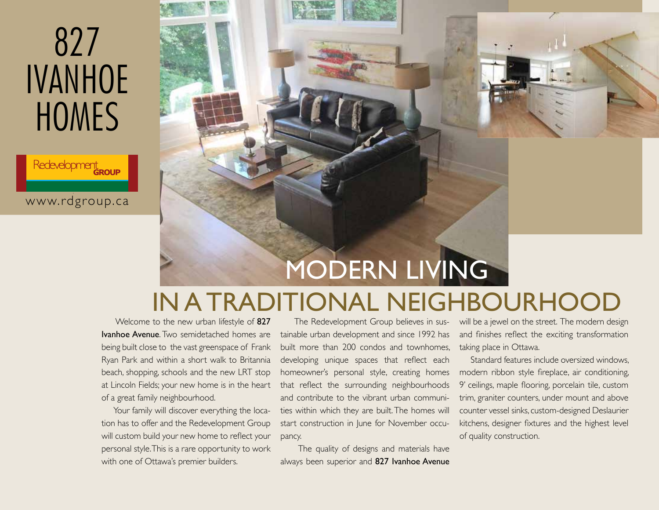Redevelopment elc

www.rdgroup.ca



## IN A TRADITIONAL NEIGHBOURHOOD

 Welcome to the new urban lifestyle of 827 **Ivanhoe Avenue.** Two semidetached homes are being built close to the vast greenspace of Frank Ryan Park and within a short walk to Britannia beach, shopping, schools and the new LRT stop at Lincoln Fields; your new home is in the heart of a great family neighbourhood.

Your family will discover everything the location has to offer and the Redevelopment Group will custom build your new home to reflect your personal style. This is a rare opportunity to work with one of Ottawa's premier builders.

 The Redevelopment Group believes in sustainable urban development and since 1992 has built more than 200 condos and townhomes, developing unique spaces that reflect each homeowner's personal style, creating homes that reflect the surrounding neighbourhoods and contribute to the vibrant urban communities within which they are built. The homes will start construction in June for November occupancy.

 The quality of designs and materials have always been superior and 827 Ivanhoe Avenue

will be a jewel on the street. The modern design and finishes reflect the exciting transformation taking place in Ottawa.

 Standard features include oversized windows, modern ribbon style fireplace, air conditioning, 9' ceilings, maple flooring, porcelain tile, custom trim, graniter counters, under mount and above counter vessel sinks, custom-designed Deslaurier kitchens, designer fixtures and the highest level of quality construction.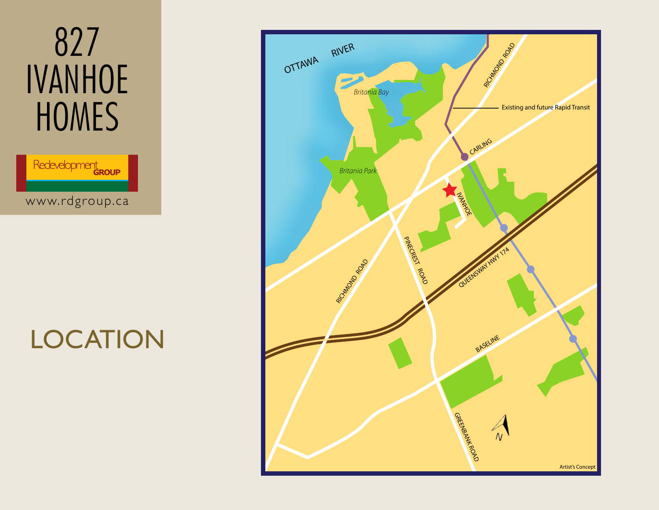

# **LOCATION**

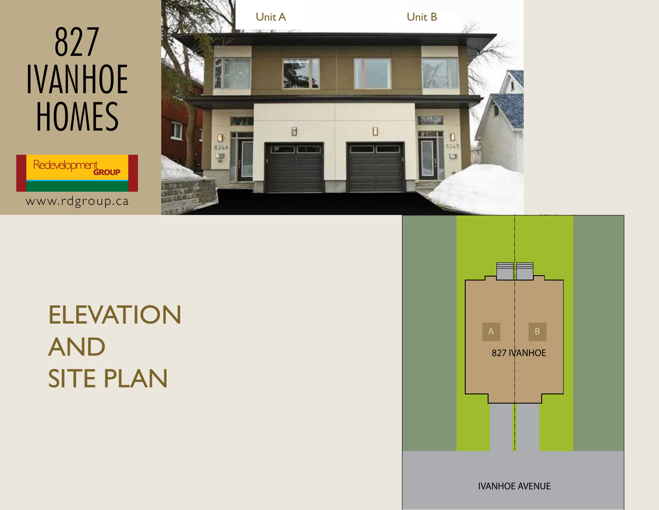Redevelopment elc

www.rdgroup.ca



## ELEVATION AND SITE PLAN



IVANHOE AVENUE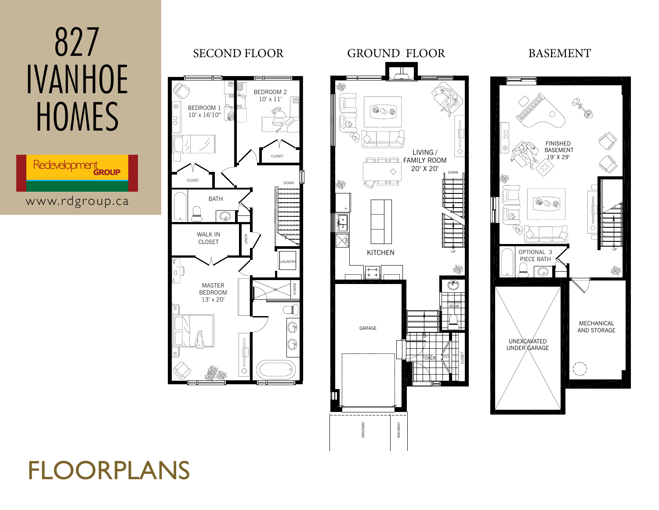

www.rdgroup.ca







## FLOORPLANS